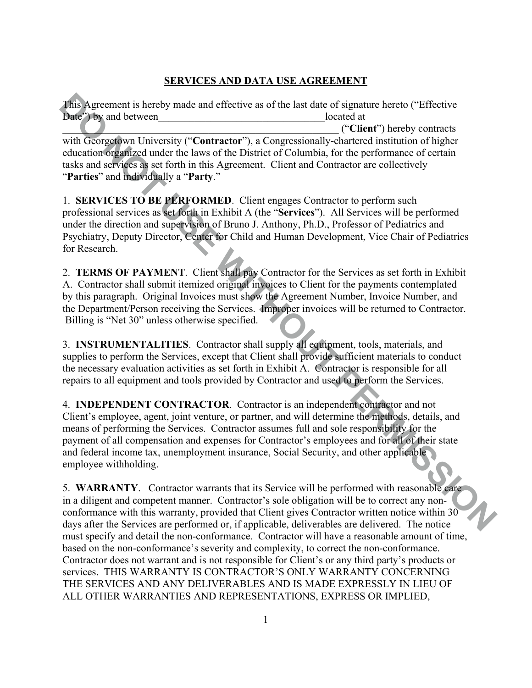# **SERVICES AND DATA USE AGREEMENT**

This Agreement is hereby mude and effective as of the last date of signature hereto ("Effective<br>bane") by and between<br>location (contractor"), a Congressionally-characteric (confractor") are education of higher<br>education of This Agreement is hereby made and effective as of the last date of signature hereto ("Effective Date") by and between located at \_\_\_\_\_\_\_\_\_\_\_\_\_\_\_\_\_\_\_\_\_\_\_\_\_\_\_\_\_\_\_\_\_\_\_\_\_\_\_\_\_\_\_\_\_\_\_\_\_\_\_\_\_ ("**Client**") hereby contracts with Georgetown University ("**Contractor**"), a Congressionally-chartered institution of higher education organized under the laws of the District of Columbia, for the performance of certain tasks and services as set forth in this Agreement. Client and Contractor are collectively "**Parties**" and individually a "**Party**."

1. **SERVICES TO BE PERFORMED**. Client engages Contractor to perform such professional services as set forth in Exhibit A (the "**Services**"). All Services will be performed under the direction and supervision of Bruno J. Anthony, Ph.D., Professor of Pediatrics and Psychiatry, Deputy Director, Center for Child and Human Development, Vice Chair of Pediatrics for Research.

2. **TERMS OF PAYMENT**. Client shall pay Contractor for the Services as set forth in Exhibit A. Contractor shall submit itemized original invoices to Client for the payments contemplated by this paragraph. Original Invoices must show the Agreement Number, Invoice Number, and the Department/Person receiving the Services. Improper invoices will be returned to Contractor. Billing is "Net 30" unless otherwise specified.

3. **INSTRUMENTALITIES**. Contractor shall supply all equipment, tools, materials, and supplies to perform the Services, except that Client shall provide sufficient materials to conduct the necessary evaluation activities as set forth in Exhibit A. Contractor is responsible for all repairs to all equipment and tools provided by Contractor and used to perform the Services.

4. **INDEPENDENT CONTRACTOR**. Contractor is an independent contractor and not Client's employee, agent, joint venture, or partner, and will determine the methods, details, and means of performing the Services. Contractor assumes full and sole responsibility for the payment of all compensation and expenses for Contractor's employees and for all of their state and federal income tax, unemployment insurance, Social Security, and other applicable employee withholding.

5. **WARRANTY**. Contractor warrants that its Service will be performed with reasonable care in a diligent and competent manner. Contractor's sole obligation will be to correct any nonconformance with this warranty, provided that Client gives Contractor written notice within 30 days after the Services are performed or, if applicable, deliverables are delivered. The notice must specify and detail the non-conformance. Contractor will have a reasonable amount of time, based on the non-conformance's severity and complexity, to correct the non-conformance. Contractor does not warrant and is not responsible for Client's or any third party's products or services. THIS WARRANTY IS CONTRACTOR'S ONLY WARRANTY CONCERNING THE SERVICES AND ANY DELIVERABLES AND IS MADE EXPRESSLY IN LIEU OF ALL OTHER WARRANTIES AND REPRESENTATIONS, EXPRESS OR IMPLIED,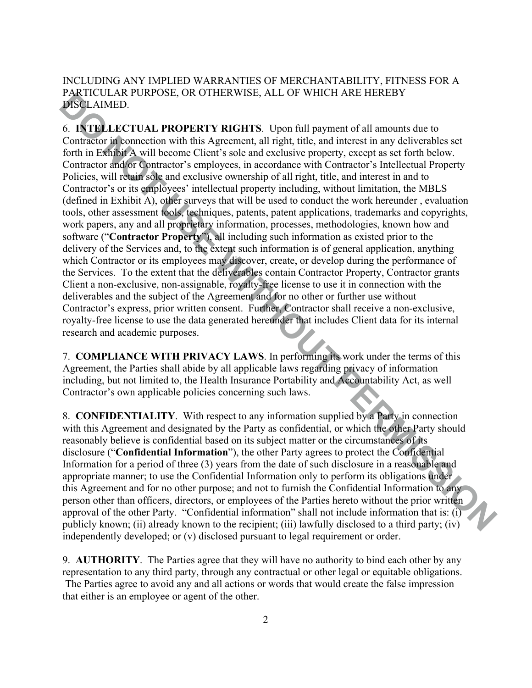## INCLUDING ANY IMPLIED WARRANTIES OF MERCHANTABILITY, FITNESS FOR A PARTICULAR PURPOSE, OR OTHERWISE, ALL OF WHICH ARE HEREBY DISCLAIMED.

**PARTIME TOWATE THE CONDUST IN A SET OF WITH PART PARTIME TO THE PARTIME TO THE CONDUCT SURFACT IN A SECTION IN A SECTION IN A SECTION IN A SECTION IN A SECTION IN A SECTION IN A SECTION IN A SECTION POINT ON THE CALCULATI** 6. **INTELLECTUAL PROPERTY RIGHTS**. Upon full payment of all amounts due to Contractor in connection with this Agreement, all right, title, and interest in any deliverables set forth in Exhibit A will become Client's sole and exclusive property, except as set forth below. Contractor and/or Contractor's employees, in accordance with Contractor's Intellectual Property Policies, will retain sole and exclusive ownership of all right, title, and interest in and to Contractor's or its employees' intellectual property including, without limitation, the MBLS (defined in Exhibit A), other surveys that will be used to conduct the work hereunder , evaluation tools, other assessment tools, techniques, patents, patent applications, trademarks and copyrights, work papers, any and all proprietary information, processes, methodologies, known how and software ("**Contractor Property**"), all including such information as existed prior to the delivery of the Services and, to the extent such information is of general application, anything which Contractor or its employees may discover, create, or develop during the performance of the Services. To the extent that the deliverables contain Contractor Property, Contractor grants Client a non-exclusive, non-assignable, royalty-free license to use it in connection with the deliverables and the subject of the Agreement and for no other or further use without Contractor's express, prior written consent. Further, Contractor shall receive a non-exclusive, royalty-free license to use the data generated hereunder that includes Client data for its internal research and academic purposes.

7. **COMPLIANCE WITH PRIVACY LAWS**. In performing its work under the terms of this Agreement, the Parties shall abide by all applicable laws regarding privacy of information including, but not limited to, the Health Insurance Portability and Accountability Act, as well Contractor's own applicable policies concerning such laws.

8. **CONFIDENTIALITY**. With respect to any information supplied by a Party in connection with this Agreement and designated by the Party as confidential, or which the other Party should reasonably believe is confidential based on its subject matter or the circumstances of its disclosure ("**Confidential Information**"), the other Party agrees to protect the Confidential Information for a period of three (3) years from the date of such disclosure in a reasonable and appropriate manner; to use the Confidential Information only to perform its obligations under this Agreement and for no other purpose; and not to furnish the Confidential Information to any person other than officers, directors, or employees of the Parties hereto without the prior written approval of the other Party. "Confidential information" shall not include information that is: (i) publicly known; (ii) already known to the recipient; (iii) lawfully disclosed to a third party; (iv) independently developed; or (v) disclosed pursuant to legal requirement or order.

9. **AUTHORITY**. The Parties agree that they will have no authority to bind each other by any representation to any third party, through any contractual or other legal or equitable obligations. The Parties agree to avoid any and all actions or words that would create the false impression that either is an employee or agent of the other.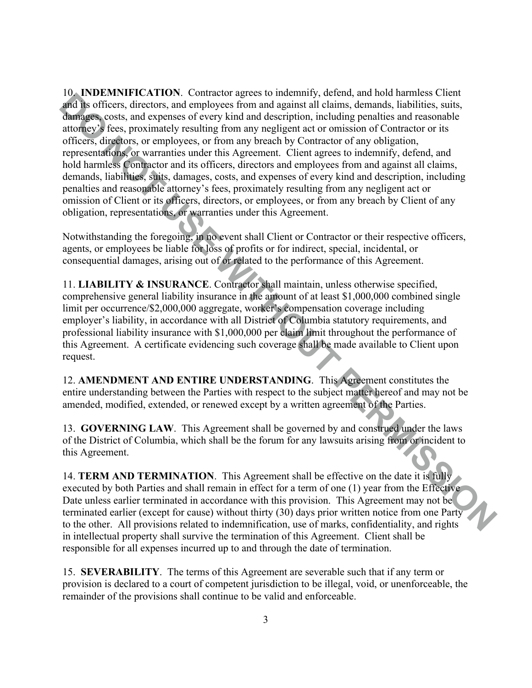**DO NOTEWAY ATTONY.** COMINED THE UNIT (SIGNER), and the sumption and the summation of the summation in the summation of the summation and the summation and the summation and the summation and the summation and the summatio 10. **INDEMNIFICATION**. Contractor agrees to indemnify, defend, and hold harmless Client and its officers, directors, and employees from and against all claims, demands, liabilities, suits, damages, costs, and expenses of every kind and description, including penalties and reasonable attorney's fees, proximately resulting from any negligent act or omission of Contractor or its officers, directors, or employees, or from any breach by Contractor of any obligation, representations, or warranties under this Agreement. Client agrees to indemnify, defend, and hold harmless Contractor and its officers, directors and employees from and against all claims, demands, liabilities, suits, damages, costs, and expenses of every kind and description, including penalties and reasonable attorney's fees, proximately resulting from any negligent act or omission of Client or its officers, directors, or employees, or from any breach by Client of any obligation, representations, or warranties under this Agreement.

Notwithstanding the foregoing, in no event shall Client or Contractor or their respective officers, agents, or employees be liable for loss of profits or for indirect, special, incidental, or consequential damages, arising out of or related to the performance of this Agreement.

11. **LIABILITY & INSURANCE**. Contractor shall maintain, unless otherwise specified, comprehensive general liability insurance in the amount of at least \$1,000,000 combined single limit per occurrence/\$2,000,000 aggregate, worker's compensation coverage including employer's liability, in accordance with all District of Columbia statutory requirements, and professional liability insurance with \$1,000,000 per claim limit throughout the performance of this Agreement. A certificate evidencing such coverage shall be made available to Client upon request.

12. **AMENDMENT AND ENTIRE UNDERSTANDING**. This Agreement constitutes the entire understanding between the Parties with respect to the subject matter hereof and may not be amended, modified, extended, or renewed except by a written agreement of the Parties.

13. **GOVERNING LAW**. This Agreement shall be governed by and construed under the laws of the District of Columbia, which shall be the forum for any lawsuits arising from or incident to this Agreement.

14. **TERM AND TERMINATION**. This Agreement shall be effective on the date it is fully executed by both Parties and shall remain in effect for a term of one (1) year from the Effective Date unless earlier terminated in accordance with this provision. This Agreement may not be terminated earlier (except for cause) without thirty (30) days prior written notice from one Party to the other. All provisions related to indemnification, use of marks, confidentiality, and rights in intellectual property shall survive the termination of this Agreement. Client shall be responsible for all expenses incurred up to and through the date of termination.

15. **SEVERABILITY**. The terms of this Agreement are severable such that if any term or provision is declared to a court of competent jurisdiction to be illegal, void, or unenforceable, the remainder of the provisions shall continue to be valid and enforceable.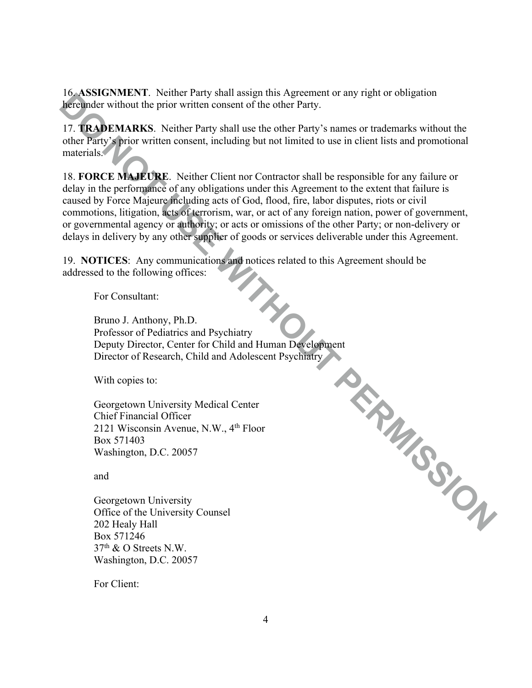16. **ASSIGNMENT**. Neither Party shall assign this Agreement or any right or obligation hereunder without the prior written consent of the other Party.

17. **TRADEMARKS**. Neither Party shall use the other Party's names or trademarks without the other Party's prior written consent, including but not limited to use in client lists and promotional materials.

18. **FORCE MAJEURE**. Neither Client nor Contractor shall be responsible for any failure or delay in the performance of any obligations under this Agreement to the extent that failure is caused by Force Majeure including acts of God, flood, fire, labor disputes, riots or civil commotions, litigation, acts of terrorism, war, or act of any foreign nation, power of government, or governmental agency or authority; or acts or omissions of the other Party; or non-delivery or delays in delivery by any other supplier of goods or services deliverable under this Agreement.

19. **NOTICES**: Any communications and notices related to this Agreement should be addressed to the following offices:

For Consultant:

*Development*<br>
Income Psychiatry<br>
Lescent Psychiatry<br>
Development Bruno J. Anthony, Ph.D. Professor of Pediatrics and Psychiatry Deputy Director, Center for Child and Human Development Director of Research, Child and Adolescent Psychiatry

With copies to:

Georgetown University Medical Center Chief Financial Officer 2121 Wisconsin Avenue, N.W., 4th Floor Box 571403 Washington, D.C. 20057

and

Georgetown University Office of the University Counsel 202 Healy Hall Box 571246  $37<sup>th</sup>$  & O Streets N.W. Washington, D.C. 20057

For Client: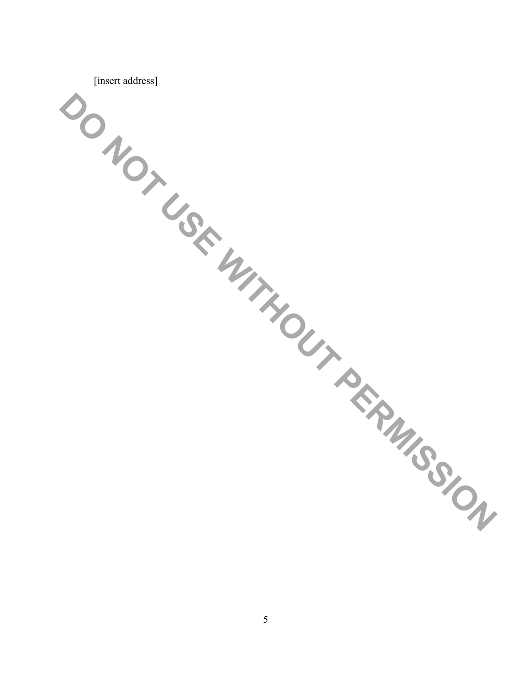| [insert address]            |  |  |
|-----------------------------|--|--|
| DONOTUSE WITHOUT PERMISSIUM |  |  |
|                             |  |  |
|                             |  |  |
|                             |  |  |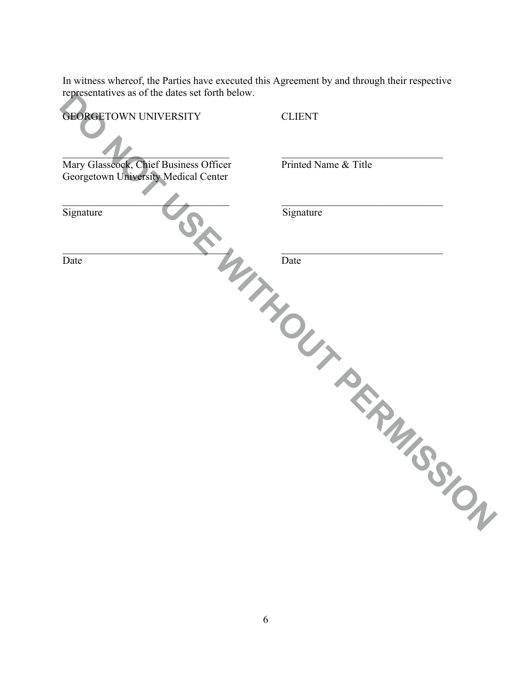In witness whereof, the Parties have executed this Agreement by and through their respective representatives as of the dates set forth below.

| representatives as of the dates set form below. |                      |
|-------------------------------------------------|----------------------|
| <b>GEORGETOWN UNIVERSITY</b>                    | <b>CLIENT</b>        |
| Mary Glasscock, Chief Business Officer          | Printed Name & Title |
| Georgetown University Medical Center            |                      |
| Signature                                       | Signature            |
| Date                                            | Date                 |
|                                                 | ITHOUT PERMISSION    |
|                                                 |                      |
|                                                 |                      |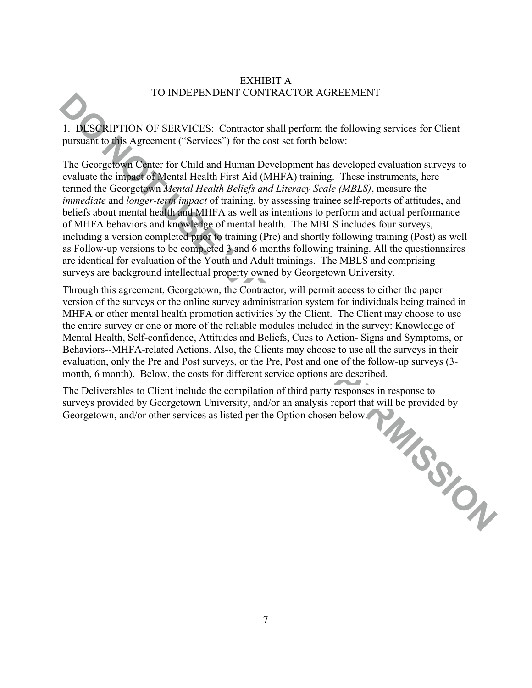#### EXHIBIT A TO INDEPENDENT CONTRACTOR AGREEMENT

1. DESCRIPTION OF SERVICES: Contractor shall perform the following services for Client pursuant to this Agreement ("Services") for the cost set forth below:

**DO NOTE/ENSIGNS TO CONTRACT ON NOTE AND CONTRACT CONTRACT (DEVICES)**<br> **DO NOTE/ENSIGNS TO CONTRACT CONTRACT (DEVICES)**<br>
The Georgeleow Control Beneficial and Human Developed evaluation surveys to<br>
Unitary Agreement ("Serv The Georgetown Center for Child and Human Development has developed evaluation surveys to evaluate the impact of Mental Health First Aid (MHFA) training. These instruments, here termed the Georgetown *Mental Health Beliefs and Literacy Scale (MBLS)*, measure the *immediate* and *longer-term impact* of training, by assessing trainee self-reports of attitudes, and beliefs about mental health and MHFA as well as intentions to perform and actual performance of MHFA behaviors and knowledge of mental health. The MBLS includes four surveys, including a version completed prior to training (Pre) and shortly following training (Post) as well as Follow-up versions to be completed 3 and 6 months following training. All the questionnaires are identical for evaluation of the Youth and Adult trainings. The MBLS and comprising surveys are background intellectual property owned by Georgetown University.

Through this agreement, Georgetown, the Contractor, will permit access to either the paper version of the surveys or the online survey administration system for individuals being trained in MHFA or other mental health promotion activities by the Client. The Client may choose to use the entire survey or one or more of the reliable modules included in the survey: Knowledge of Mental Health, Self-confidence, Attitudes and Beliefs, Cues to Action- Signs and Symptoms, or Behaviors--MHFA-related Actions. Also, the Clients may choose to use all the surveys in their evaluation, only the Pre and Post surveys, or the Pre, Post and one of the follow-up surveys (3 month, 6 month). Below, the costs for different service options are described.

The Deliverables to Client include the compilation of third party responses in response to surveys provided by Georgetown University, and/or an analysis report that will be provided by Georgetown, and/or other services as surveys provided by Georgetown University, and/or an analysis report that will be provided by Georgetown, and/or other services as listed per the Option chosen below.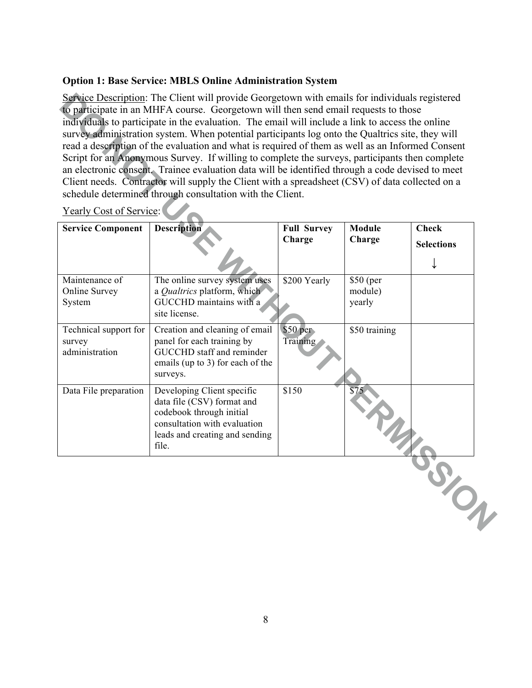#### **Option 1: Base Service: MBLS Online Administration System**

| Service Description: The Client will provide Georgetown with emails for individuals registered<br>to participate in an MHFA course. Georgetown will then send email requests to those<br>individuals to participate in the evaluation. The email will include a link to access the online<br>survey administration system. When potential participants log onto the Qualtrics site, they will<br>read a description of the evaluation and what is required of them as well as an Informed Consent<br>Script for an Anonymous Survey. If willing to complete the surveys, participants then complete<br>an electronic consent. Trainee evaluation data will be identified through a code devised to meet<br>Client needs. Contractor will supply the Client with a spreadsheet (CSV) of data collected on a<br>schedule determined through consultation with the Client. |                                                                                                                                                                 |                              |                                |                                   |  |
|-------------------------------------------------------------------------------------------------------------------------------------------------------------------------------------------------------------------------------------------------------------------------------------------------------------------------------------------------------------------------------------------------------------------------------------------------------------------------------------------------------------------------------------------------------------------------------------------------------------------------------------------------------------------------------------------------------------------------------------------------------------------------------------------------------------------------------------------------------------------------|-----------------------------------------------------------------------------------------------------------------------------------------------------------------|------------------------------|--------------------------------|-----------------------------------|--|
| <b>Yearly Cost of Service:</b><br><b>Service Component</b>                                                                                                                                                                                                                                                                                                                                                                                                                                                                                                                                                                                                                                                                                                                                                                                                              | <b>Description</b>                                                                                                                                              | <b>Full Survey</b><br>Charge | Module<br>Charge               | <b>Check</b><br><b>Selections</b> |  |
| Maintenance of<br>Online Survey<br>System                                                                                                                                                                                                                                                                                                                                                                                                                                                                                                                                                                                                                                                                                                                                                                                                                               | The online survey system uses<br>a Qualtrics platform, which<br>GUCCHD maintains with a<br>site license.                                                        | \$200 Yearly                 | \$50 (per<br>module)<br>yearly |                                   |  |
| Technical support for<br>survey<br>administration                                                                                                                                                                                                                                                                                                                                                                                                                                                                                                                                                                                                                                                                                                                                                                                                                       | Creation and cleaning of email<br>panel for each training by<br>GUCCHD staff and reminder<br>emails (up to 3) for each of the<br>surveys.                       | \$50~per<br>Training         | \$50 training                  |                                   |  |
| Data File preparation                                                                                                                                                                                                                                                                                                                                                                                                                                                                                                                                                                                                                                                                                                                                                                                                                                                   | Developing Client specific<br>data file (CSV) format and<br>codebook through initial<br>consultation with evaluation<br>leads and creating and sending<br>file. | \$150                        | $\overline{$75}$               |                                   |  |
|                                                                                                                                                                                                                                                                                                                                                                                                                                                                                                                                                                                                                                                                                                                                                                                                                                                                         |                                                                                                                                                                 |                              |                                | RALGO TON                         |  |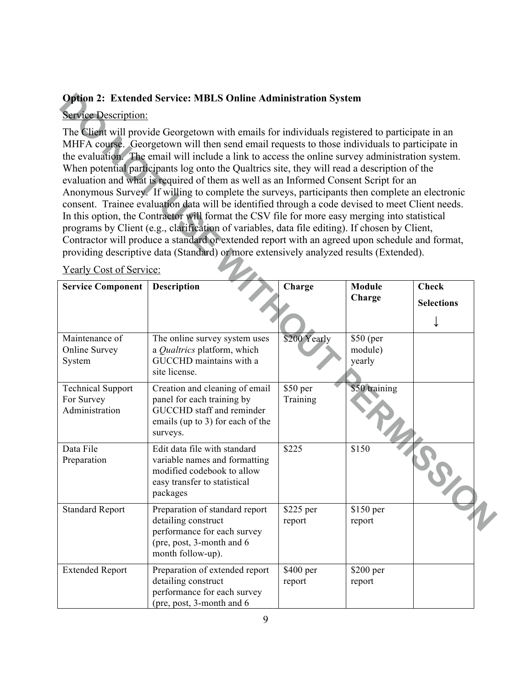#### **Option 2: Extended Service: MBLS Online Administration System**

# Service Description:

| <b>Option 2: Extended Service: MBLS Online Administration System</b>                                                                                                                                                                                                                                                                                                                                                                                                                                                                                                                                                                                                                                                                                                                                                                                                                                                                                                                                                                                                                             |                                                                                                                                           |                       |                                |                   |  |
|--------------------------------------------------------------------------------------------------------------------------------------------------------------------------------------------------------------------------------------------------------------------------------------------------------------------------------------------------------------------------------------------------------------------------------------------------------------------------------------------------------------------------------------------------------------------------------------------------------------------------------------------------------------------------------------------------------------------------------------------------------------------------------------------------------------------------------------------------------------------------------------------------------------------------------------------------------------------------------------------------------------------------------------------------------------------------------------------------|-------------------------------------------------------------------------------------------------------------------------------------------|-----------------------|--------------------------------|-------------------|--|
| <b>Service Description:</b>                                                                                                                                                                                                                                                                                                                                                                                                                                                                                                                                                                                                                                                                                                                                                                                                                                                                                                                                                                                                                                                                      |                                                                                                                                           |                       |                                |                   |  |
| The Client will provide Georgetown with emails for individuals registered to participate in an<br>MHFA course. Georgetown will then send email requests to those individuals to participate in<br>the evaluation. The email will include a link to access the online survey administration system.<br>When potential participants log onto the Qualtrics site, they will read a description of the<br>evaluation and what is required of them as well as an Informed Consent Script for an<br>Anonymous Survey. If willing to complete the surveys, participants then complete an electronic<br>consent. Trainee evaluation data will be identified through a code devised to meet Client needs.<br>In this option, the Contractor will format the CSV file for more easy merging into statistical<br>programs by Client (e.g., clarification of variables, data file editing). If chosen by Client,<br>Contractor will produce a standard or extended report with an agreed upon schedule and format,<br>providing descriptive data (Standard) or more extensively analyzed results (Extended). |                                                                                                                                           |                       |                                |                   |  |
| <b>Yearly Cost of Service:</b>                                                                                                                                                                                                                                                                                                                                                                                                                                                                                                                                                                                                                                                                                                                                                                                                                                                                                                                                                                                                                                                                   |                                                                                                                                           |                       |                                |                   |  |
| <b>Service Component</b>                                                                                                                                                                                                                                                                                                                                                                                                                                                                                                                                                                                                                                                                                                                                                                                                                                                                                                                                                                                                                                                                         | Description                                                                                                                               | Charge                | <b>Module</b><br>Charge        | <b>Check</b>      |  |
|                                                                                                                                                                                                                                                                                                                                                                                                                                                                                                                                                                                                                                                                                                                                                                                                                                                                                                                                                                                                                                                                                                  |                                                                                                                                           |                       |                                | <b>Selections</b> |  |
| Maintenance of<br>Online Survey<br>System                                                                                                                                                                                                                                                                                                                                                                                                                                                                                                                                                                                                                                                                                                                                                                                                                                                                                                                                                                                                                                                        | The online survey system uses<br>a Qualtrics platform, which<br>GUCCHD maintains with a<br>site license.                                  | \$200 Yearly          | \$50 (per<br>module)<br>yearly |                   |  |
| <b>Technical Support</b><br>For Survey<br>Administration                                                                                                                                                                                                                                                                                                                                                                                                                                                                                                                                                                                                                                                                                                                                                                                                                                                                                                                                                                                                                                         | Creation and cleaning of email<br>panel for each training by<br>GUCCHD staff and reminder<br>emails (up to 3) for each of the<br>surveys. | $$50$ per<br>Training | \$50 training                  |                   |  |
| Data File<br>Preparation                                                                                                                                                                                                                                                                                                                                                                                                                                                                                                                                                                                                                                                                                                                                                                                                                                                                                                                                                                                                                                                                         | Edit data file with standard<br>variable names and formatting<br>modified codebook to allow<br>easy transfer to statistical<br>packages   | \$225                 | \$150                          |                   |  |
| <b>Standard Report</b>                                                                                                                                                                                                                                                                                                                                                                                                                                                                                                                                                                                                                                                                                                                                                                                                                                                                                                                                                                                                                                                                           | Preparation of standard report<br>detailing construct<br>performance for each survey<br>(pre, post, 3-month and 6<br>month follow-up).    | \$225 per<br>report   | \$150 per<br>report            |                   |  |
| <b>Extended Report</b>                                                                                                                                                                                                                                                                                                                                                                                                                                                                                                                                                                                                                                                                                                                                                                                                                                                                                                                                                                                                                                                                           | Preparation of extended report<br>detailing construct<br>performance for each survey<br>(pre, post, 3-month and 6                         | \$400 per<br>report   | $$200$ per<br>report           |                   |  |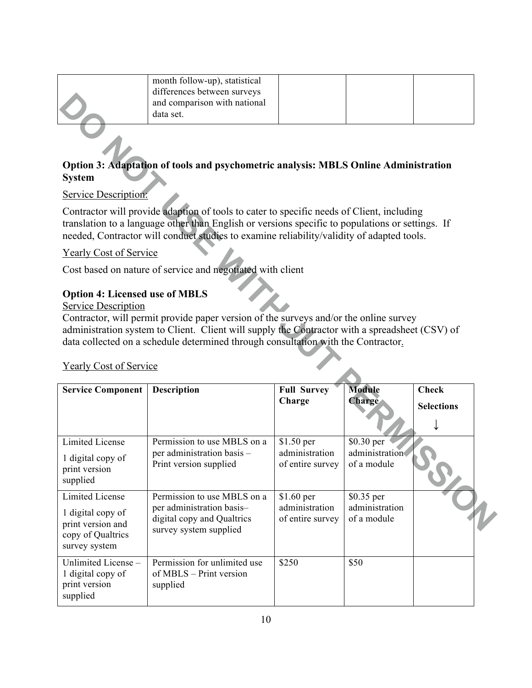| month follow-up), statistical<br>differences between surveys |  |  |
|--------------------------------------------------------------|--|--|
| and comparison with national<br>data set.                    |  |  |

### **Option 3: Adaptation of tools and psychometric analysis: MBLS Online Administration System**

### **Service Description:**

### Yearly Cost of Service

# **Option 4: Licensed use of MBLS**

#### Service Description

|                                                                                                                                                                                                                                                                                                                                                                                      | and comparison with national<br>data set.                                                                                                                                                                                                                                                  |                                                  |                                             |                   |  |  |  |  |
|--------------------------------------------------------------------------------------------------------------------------------------------------------------------------------------------------------------------------------------------------------------------------------------------------------------------------------------------------------------------------------------|--------------------------------------------------------------------------------------------------------------------------------------------------------------------------------------------------------------------------------------------------------------------------------------------|--------------------------------------------------|---------------------------------------------|-------------------|--|--|--|--|
| Option 3: Adaptation of tools and psychometric analysis: MBLS Online Administration<br><b>System</b>                                                                                                                                                                                                                                                                                 |                                                                                                                                                                                                                                                                                            |                                                  |                                             |                   |  |  |  |  |
| <b>Service Description:</b>                                                                                                                                                                                                                                                                                                                                                          |                                                                                                                                                                                                                                                                                            |                                                  |                                             |                   |  |  |  |  |
|                                                                                                                                                                                                                                                                                                                                                                                      | Contractor will provide adaption of tools to cater to specific needs of Client, including<br>translation to a language other than English or versions specific to populations or settings. If<br>needed, Contractor will conduct studies to examine reliability/validity of adapted tools. |                                                  |                                             |                   |  |  |  |  |
| <b>Yearly Cost of Service</b>                                                                                                                                                                                                                                                                                                                                                        |                                                                                                                                                                                                                                                                                            |                                                  |                                             |                   |  |  |  |  |
|                                                                                                                                                                                                                                                                                                                                                                                      | Cost based on nature of service and negotiated with client                                                                                                                                                                                                                                 |                                                  |                                             |                   |  |  |  |  |
| <b>Option 4: Licensed use of MBLS</b><br><b>Service Description</b><br>Contractor, will permit provide paper version of the surveys and/or the online survey<br>administration system to Client. Client will supply the Contractor with a spreadsheet (CSV) of<br>data collected on a schedule determined through consultation with the Contractor.<br><b>Yearly Cost of Service</b> |                                                                                                                                                                                                                                                                                            |                                                  |                                             |                   |  |  |  |  |
|                                                                                                                                                                                                                                                                                                                                                                                      |                                                                                                                                                                                                                                                                                            |                                                  |                                             |                   |  |  |  |  |
| <b>Service Component</b>                                                                                                                                                                                                                                                                                                                                                             | <b>Description</b>                                                                                                                                                                                                                                                                         | <b>Full Survey</b>                               | <b>Module</b>                               | <b>Check</b>      |  |  |  |  |
|                                                                                                                                                                                                                                                                                                                                                                                      |                                                                                                                                                                                                                                                                                            | Charge                                           | <b>Charge</b>                               | <b>Selections</b> |  |  |  |  |
| <b>Limited License</b><br>1 digital copy of<br>print version<br>supplied                                                                                                                                                                                                                                                                                                             | Permission to use MBLS on a<br>per administration basis -<br>Print version supplied                                                                                                                                                                                                        | \$1.50 per<br>administration<br>of entire survey | \$0.30 per<br>administration<br>of a module |                   |  |  |  |  |
| <b>Limited License</b><br>1 digital copy of<br>print version and<br>copy of Qualtrics<br>survey system                                                                                                                                                                                                                                                                               | Permission to use MBLS on a<br>per administration basis-<br>digital copy and Qualtrics<br>survey system supplied                                                                                                                                                                           | \$1.60 per<br>administration<br>of entire survey | \$0.35 per<br>administration<br>of a module |                   |  |  |  |  |

### Yearly Cost of Service